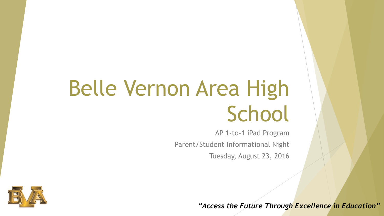## Belle Vernon Area High **School**

AP 1-to-1 iPad Program Parent/Student Informational Night Tuesday, August 23, 2016

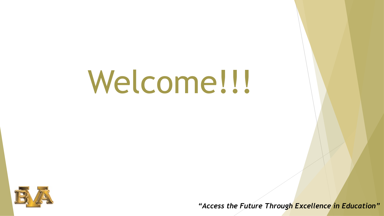# Welcome!!!

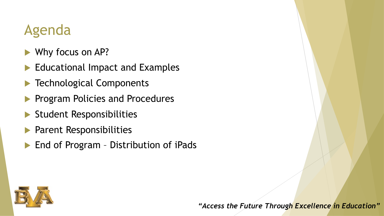### Agenda

- Why focus on AP?
- Educational Impact and Examples
- **Technological Components**
- Program Policies and Procedures
- **Student Responsibilities**
- Parent Responsibilities
- End of Program Distribution of iPads

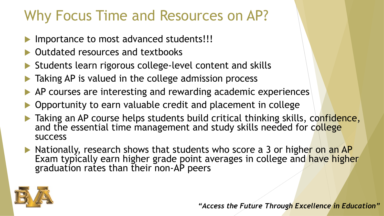### Why Focus Time and Resources on AP?

- Importance to most advanced students!!!
- $\triangleright$  Outdated resources and textbooks
- $\blacktriangleright$  Students learn rigorous college-level content and skills
- Taking AP is valued in the college admission process
- $\blacktriangleright$  AP courses are interesting and rewarding academic experiences
- $\triangleright$  Opportunity to earn valuable credit and placement in college
- Taking an AP course helps students build critical thinking skills, confidence, and the essential time management and study skills needed for college success
- $\blacktriangleright$  Nationally, research shows that students who score a 3 or higher on an AP Exam typically earn higher grade point averages in college and have higher graduation rates than their non-AP peers

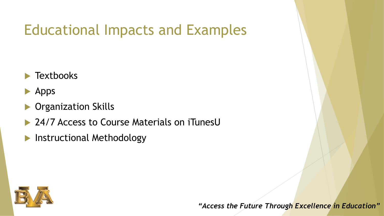### Educational Impacts and Examples

- $\blacktriangleright$  Textbooks
- $\blacktriangleright$  Apps
- **Organization Skills**
- ▶ 24/7 Access to Course Materials on iTunesU
- **Instructional Methodology**

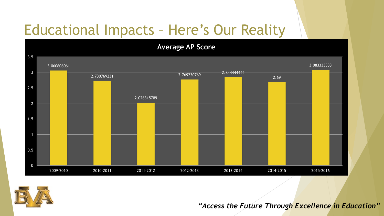### Educational Impacts – Here's Our Reality



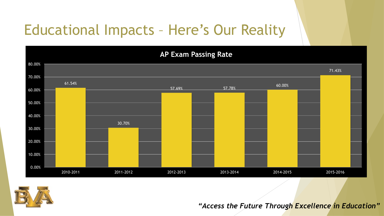### Educational Impacts – Here's Our Reality



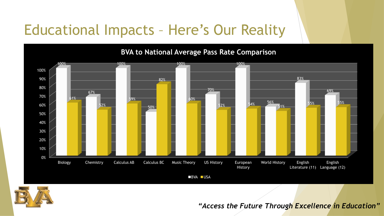### Educational Impacts – Here's Our Reality



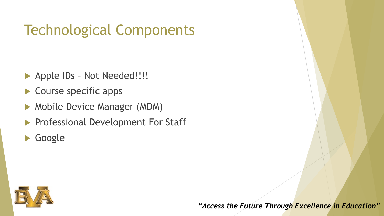### Technological Components

- Apple IDs Not Needed!!!!
- $\blacktriangleright$  Course specific apps
- Mobile Device Manager (MDM)
- Professional Development For Staff
- Google

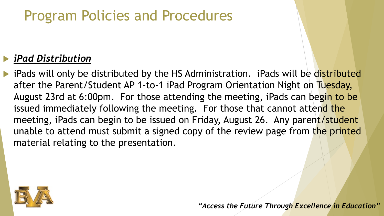### Program Policies and Procedures

#### u *iPad Distribution*

**I** iPads will only be distributed by the HS Administration. iPads will be distributed after the Parent/Student AP 1-to-1 iPad Program Orientation Night on Tuesday, August 23rd at 6:00pm. For those attending the meeting, iPads can begin to be issued immediately following the meeting. For those that cannot attend the meeting, iPads can begin to be issued on Friday, August 26. Any parent/student unable to attend must submit a signed copy of the review page from the printed material relating to the presentation.

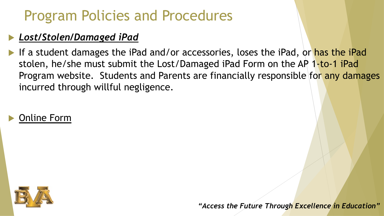### Program Policies and Procedures

#### u *Lost/Stolen/Damaged iPad*

If a student damages the iPad and/or accessories, loses the iPad, or has the iPad stolen, he/she must submit the Lost/Damaged iPad Form on the AP 1-to-1 iPad Program website. Students and Parents are financially responsible for any damages incurred through willful negligence.



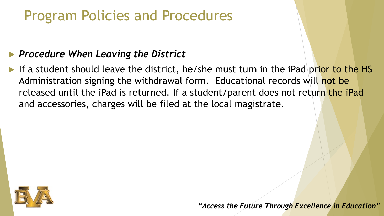### Program Policies and Procedures

#### **Procedure When Leaving the District**

If a student should leave the district, he/she must turn in the iPad prior to the HS Administration signing the withdrawal form. Educational records will not be released until the iPad is returned. If a student/parent does not return the iPad and accessories, charges will be filed at the local magistrate.

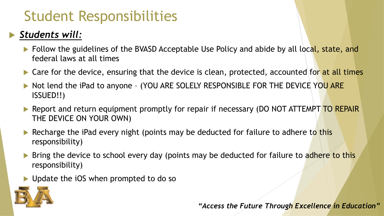### Student Responsibilities

#### **Students will:**

- **Follow the guidelines of the BVASD Acceptable Use Policy and abide by all local, state, and** federal laws at all times
- $\blacktriangleright$  Care for the device, ensuring that the device is clean, protected, accounted for at all times
- In Not lend the iPad to anyone (YOU ARE SOLELY RESPONSIBLE FOR THE DEVICE YOU ARE ISSUED!!)
- Report and return equipment promptly for repair if necessary (DO NOT ATTEMPT TO REPAIR THE DEVICE ON YOUR OWN)
- Recharge the iPad every night (points may be deducted for failure to adhere to this responsibility)
- Bring the device to school every day (points may be deducted for failure to adhere to this responsibility)
- $\blacktriangleright$  Update the iOS when prompted to do so

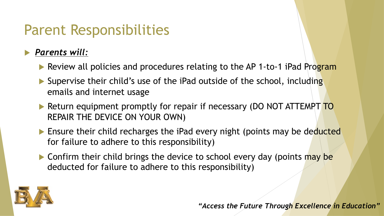### Parent Responsibilities

#### **Parents will:**

- Review all policies and procedures relating to the AP 1-to-1 iPad Program
- $\blacktriangleright$  Supervise their child's use of the iPad outside of the school, including emails and internet usage
- Return equipment promptly for repair if necessary (DO NOT ATTEMPT TO REPAIR THE DEVICE ON YOUR OWN)
- **Ensure their child recharges the iPad every night (points may be deducted** for failure to adhere to this responsibility)
- $\blacktriangleright$  Confirm their child brings the device to school every day (points may be deducted for failure to adhere to this responsibility)